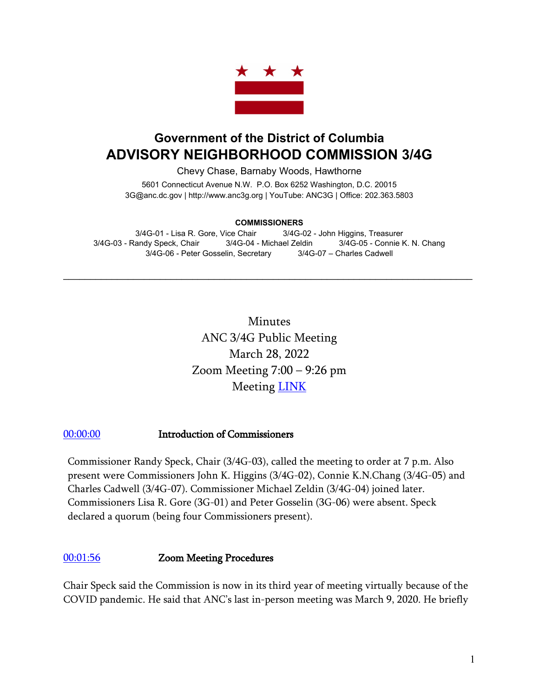

# **Government of the District of Columbia ADVISORY NEIGHBORHOOD COMMISSION 3/4G**

Chevy Chase, Barnaby Woods, Hawthorne

5601 Connecticut Avenue N.W. P.O. Box 6252 Washington, D.C. 20015 3G@anc.dc.gov | [http://www.anc3g.org](http://www.anc3g.org/) | YouTube: ANC3G | Office: 202.363.5803

#### **COMMISSIONERS**

3/4G-01 - Lisa R. Gore, Vice Chair 3/4G-02 - John Higgins, Treasurer 3/4G-03 - Randy Speck, Chair 3/4G-04 - Michael Zeldin 3/4G-05 - Connie K. N. Chang 3/4G-06 - Peter Gosselin, Secretary 3/4G-07 – Charles Cadwell

 $\mathcal{L}_\text{max}$  and  $\mathcal{L}_\text{max}$  and  $\mathcal{L}_\text{max}$  and  $\mathcal{L}_\text{max}$  and  $\mathcal{L}_\text{max}$  and  $\mathcal{L}_\text{max}$ 

Minutes ANC 3/4G Public Meeting March 28, 2022 Zoom Meeting 7:00 – 9:26 pm Meeting [LINK](https://www.youtube.com/watch?v=_JxEqmOQGB0)

#### [00:00:00](https://www.youtube.com/watch?v=_JxEqmOQGB0) Introduction of Commissioners

Commissioner Randy Speck, Chair (3/4G-03), called the meeting to order at 7 p.m. Also present were Commissioners John K. Higgins (3/4G-02), Connie K.N.Chang (3/4G-05) and Charles Cadwell (3/4G-07). Commissioner Michael Zeldin (3/4G-04) joined later. Commissioners Lisa R. Gore (3G-01) and Peter Gosselin (3G-06) were absent. Speck declared a quorum (being four Commissioners present).

#### [00:01:56](https://www.youtube.com/watch?v=_JxEqmOQGB0&t=116s) Zoom Meeting Procedures

Chair Speck said the Commission is now in its third year of meeting virtually because of the COVID pandemic. He said that ANC's last in-person meeting was March 9, 2020. He briefly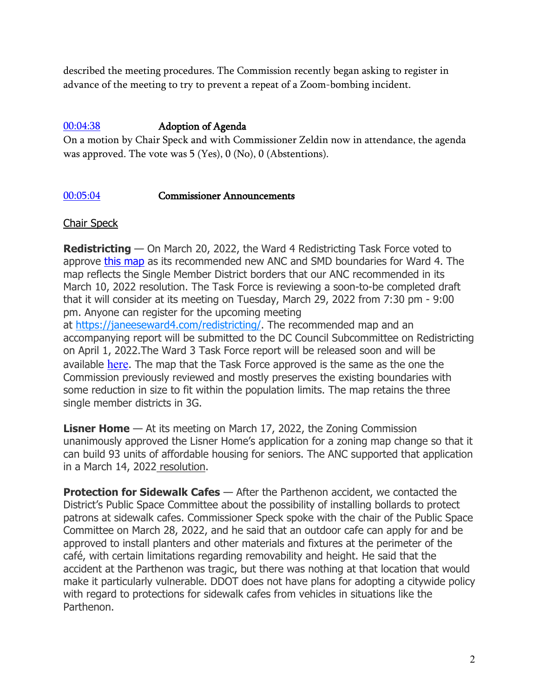described the meeting procedures. The Commission recently began asking to register in advance of the meeting to try to prevent a repeat of a Zoom-bombing incident.

#### [00:04:38](https://www.youtube.com/watch?v=_JxEqmOQGB0&t=278s) Adoption of Agenda

On a motion by Chair Speck and with Commissioner Zeldin now in attendance, the agenda was approved. The vote was 5 (Yes), 0 (No), 0 (Abstentions).

#### [00:05:04](https://www.youtube.com/watch?v=_JxEqmOQGB0&t=304s) Commissioner Announcements

#### Chair Speck

**Redistricting** — On March 20, 2022, the Ward 4 Redistricting Task Force voted to approve [this map](https://3d7u451llb482vg7eo2t27v9-wpengine.netdna-ssl.com/wp-content/uploads/2022/03/Final-Approved-ESRI-Map-With-Manual-Splits-Needed-3.20.22.pdf) as its recommended new ANC and SMD boundaries for Ward 4. The map reflects the Single Member District borders that our ANC recommended in its March 10, 2022 resolution. The Task Force is reviewing a soon-to-be completed draft that it will consider at its meeting on Tuesday, March 29, 2022 from 7:30 pm - 9:00 pm. Anyone can register for the upcoming meeting

at [https://janeeseward4.com/redistricting/.](https://janeeseward4.com/redistricting/) The recommended map and an accompanying report will be submitted to the DC Council Subcommittee on Redistricting on April 1, 2022.The Ward 3 Task Force report will be released soon and will be available [here](https://chevychasenews.com/redistricting). The map that the Task Force approved is the same as the one the Commission previously reviewed and mostly preserves the existing boundaries with some reduction in size to fit within the population limits. The map retains the three single member districts in 3G.

**Lisner Home** — At its meeting on March 17, 2022, the Zoning Commission unanimously approved the Lisner Home's application for a zoning map change so that it can build 93 units of affordable housing for seniors. The ANC supported that application in a [March 14,](https://anc3g.org/wp-content/uploads/2022/03/ANC-34G-Resolution-on-Lisner-Home-FINAL-3-14-22.pdf) 2022 resolution.

**Protection for Sidewalk Cafes** — After the Parthenon accident, we contacted the District's Public Space Committee about the possibility of installing bollards to protect patrons at sidewalk cafes. Commissioner Speck spoke with the chair of the Public Space Committee on March 28, 2022, and he said that an outdoor cafe can apply for and be approved to install planters and other materials and fixtures at the perimeter of the café, with certain limitations regarding removability and height. He said that the accident at the Parthenon was tragic, but there was nothing at that location that would make it particularly vulnerable. DDOT does not have plans for adopting a citywide policy with regard to protections for sidewalk cafes from vehicles in situations like the Parthenon.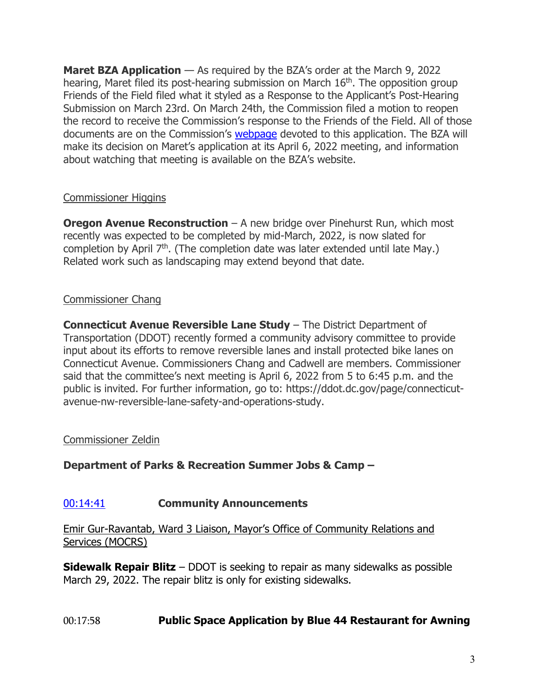**Maret BZA Application** — As required by the BZA's order at the March 9, 2022 hearing, Maret filed its post-hearing submission on March 16<sup>th</sup>. The opposition group Friends of the Field filed what it styled as a Response to the Applicant's Post-Hearing Submission on March 23rd. On March 24th, the Commission filed a motion to reopen the record to receive the Commission's response to the Friends of the Field. All of those documents are on the Commission's **[webpage](https://anc3g.org/task_forces/maret-school-ecc-sports-field/)** devoted to this application. The BZA will make its decision on Maret's application at its April 6, 2022 meeting, and information about watching that meeting is available on the BZA's website.

# Commissioner Higgins

**Oregon Avenue Reconstruction** – A new bridge over Pinehurst Run, which most recently was expected to be completed by mid-March, 2022, is now slated for completion by April 7<sup>th</sup>. (The completion date was later extended until late May.) Related work such as landscaping may extend beyond that date.

# Commissioner Chang

**Connecticut Avenue Reversible Lane Study** – The District Department of Transportation (DDOT) recently formed a community advisory committee to provide input about its efforts to remove reversible lanes and install protected bike lanes on Connecticut Avenue. Commissioners Chang and Cadwell are members. Commissioner said that the committee's next meeting is April 6, 2022 from 5 to 6:45 p.m. and the public is invited. For further information, go to: https://ddot.dc.gov/page/connecticutavenue-nw-reversible-lane-safety-and-operations-study.

## Commissioner Zeldin

# **Department of Parks & Recreation Summer Jobs & Camp –**

## [00:14:41](https://www.youtube.com/watch?v=_JxEqmOQGB0&t=881s) **Community Announcements**

Emir Gur-Ravantab, Ward 3 Liaison, Mayor's Office of Community Relations and Services (MOCRS)

**Sidewalk Repair Blitz** – DDOT is seeking to repair as many sidewalks as possible March 29, 2022. The repair blitz is only for existing sidewalks.

## 00:17:58 **Public Space Application by Blue 44 Restaurant for Awning**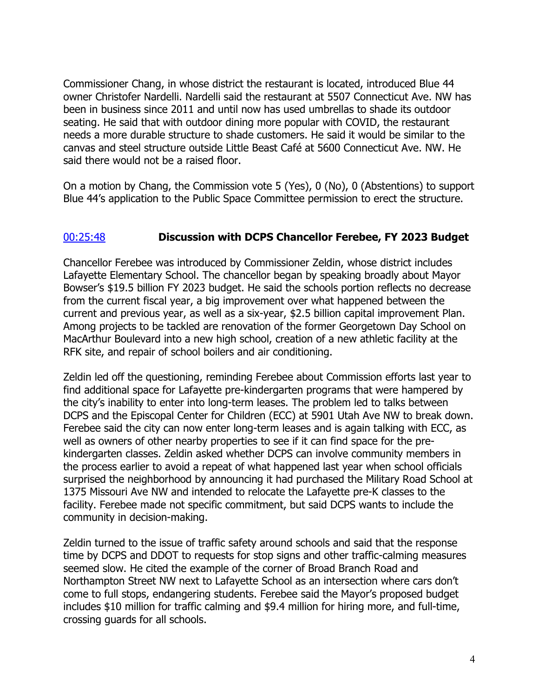Commissioner Chang, in whose district the restaurant is located, introduced Blue 44 owner Christofer Nardelli. Nardelli said the restaurant at 5507 Connecticut Ave. NW has been in business since 2011 and until now has used umbrellas to shade its outdoor seating. He said that with outdoor dining more popular with COVID, the restaurant needs a more durable structure to shade customers. He said it would be similar to the canvas and steel structure outside Little Beast Café at 5600 Connecticut Ave. NW. He said there would not be a raised floor.

On a motion by Chang, the Commission vote 5 (Yes), 0 (No), 0 (Abstentions) to support Blue 44's application to the Public Space Committee permission to erect the structure.

## [00:25:48](https://www.youtube.com/watch?v=_JxEqmOQGB0&t=1548s) **Discussion with DCPS Chancellor Ferebee, FY 2023 Budget**

Chancellor Ferebee was introduced by Commissioner Zeldin, whose district includes Lafayette Elementary School. The chancellor began by speaking broadly about Mayor Bowser's \$19.5 billion FY 2023 budget. He said the schools portion reflects no decrease from the current fiscal year, a big improvement over what happened between the current and previous year, as well as a six-year, \$2.5 billion capital improvement Plan. Among projects to be tackled are renovation of the former Georgetown Day School on MacArthur Boulevard into a new high school, creation of a new athletic facility at the RFK site, and repair of school boilers and air conditioning.

Zeldin led off the questioning, reminding Ferebee about Commission efforts last year to find additional space for Lafayette pre-kindergarten programs that were hampered by the city's inability to enter into long-term leases. The problem led to talks between DCPS and the Episcopal Center for Children (ECC) at 5901 Utah Ave NW to break down. Ferebee said the city can now enter long-term leases and is again talking with ECC, as well as owners of other nearby properties to see if it can find space for the prekindergarten classes. Zeldin asked whether DCPS can involve community members in the process earlier to avoid a repeat of what happened last year when school officials surprised the neighborhood by announcing it had purchased the Military Road School at 1375 Missouri Ave NW and intended to relocate the Lafayette pre-K classes to the facility. Ferebee made not specific commitment, but said DCPS wants to include the community in decision-making.

Zeldin turned to the issue of traffic safety around schools and said that the response time by DCPS and DDOT to requests for stop signs and other traffic-calming measures seemed slow. He cited the example of the corner of Broad Branch Road and Northampton Street NW next to Lafayette School as an intersection where cars don't come to full stops, endangering students. Ferebee said the Mayor's proposed budget includes \$10 million for traffic calming and \$9.4 million for hiring more, and full-time, crossing guards for all schools.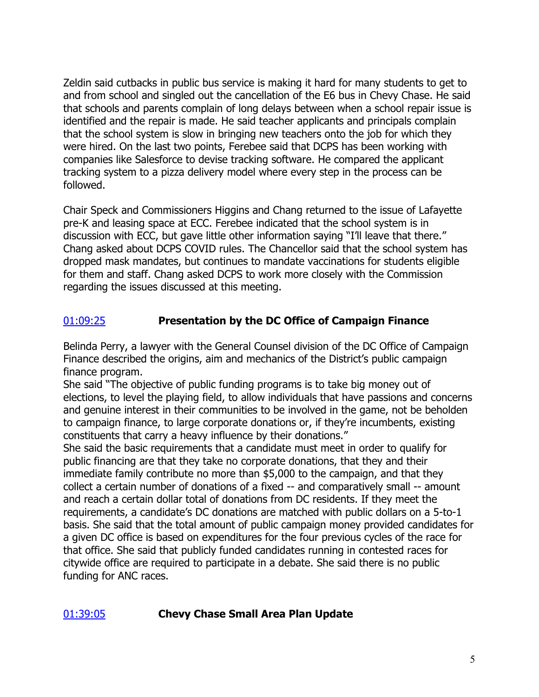Zeldin said cutbacks in public bus service is making it hard for many students to get to and from school and singled out the cancellation of the E6 bus in Chevy Chase. He said that schools and parents complain of long delays between when a school repair issue is identified and the repair is made. He said teacher applicants and principals complain that the school system is slow in bringing new teachers onto the job for which they were hired. On the last two points, Ferebee said that DCPS has been working with companies like Salesforce to devise tracking software. He compared the applicant tracking system to a pizza delivery model where every step in the process can be followed.

Chair Speck and Commissioners Higgins and Chang returned to the issue of Lafayette pre-K and leasing space at ECC. Ferebee indicated that the school system is in discussion with ECC, but gave little other information saying "I'll leave that there." Chang asked about DCPS COVID rules. The Chancellor said that the school system has dropped mask mandates, but continues to mandate vaccinations for students eligible for them and staff. Chang asked DCPS to work more closely with the Commission regarding the issues discussed at this meeting.

# [01:09:25](https://www.youtube.com/watch?v=_JxEqmOQGB0&t=4165s) **Presentation by the DC Office of Campaign Finance**

Belinda Perry, a lawyer with the General Counsel division of the DC Office of Campaign Finance described the origins, aim and mechanics of the District's public campaign finance program.

She said "The objective of public funding programs is to take big money out of elections, to level the playing field, to allow individuals that have passions and concerns and genuine interest in their communities to be involved in the game, not be beholden to campaign finance, to large corporate donations or, if they're incumbents, existing constituents that carry a heavy influence by their donations."

She said the basic requirements that a candidate must meet in order to qualify for public financing are that they take no corporate donations, that they and their immediate family contribute no more than \$5,000 to the campaign, and that they collect a certain number of donations of a fixed -- and comparatively small -- amount and reach a certain dollar total of donations from DC residents. If they meet the requirements, a candidate's DC donations are matched with public dollars on a 5-to-1 basis. She said that the total amount of public campaign money provided candidates for a given DC office is based on expenditures for the four previous cycles of the race for that office. She said that publicly funded candidates running in contested races for citywide office are required to participate in a debate. She said there is no public funding for ANC races.

# [01:39:05](https://www.youtube.com/watch?v=_JxEqmOQGB0&t=5945s) **Chevy Chase Small Area Plan Update**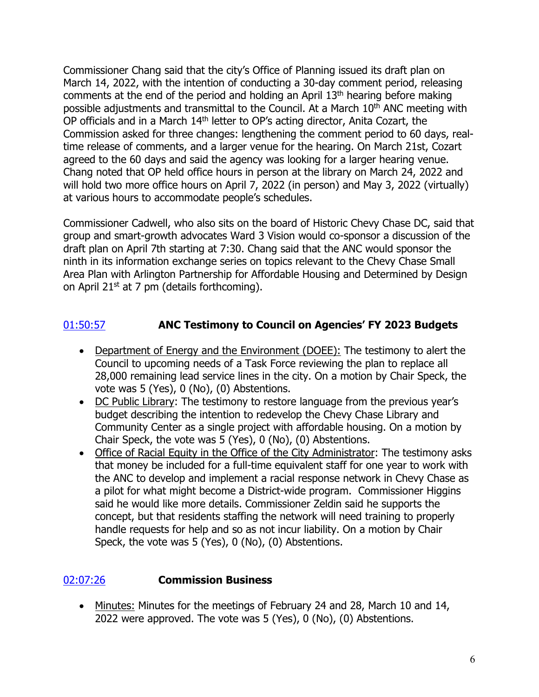Commissioner Chang said that the city's Office of Planning issued its draft plan on March 14, 2022, with the intention of conducting a 30-day comment period, releasing comments at the end of the period and holding an April 13th hearing before making possible adjustments and transmittal to the Council. At a March 10<sup>th</sup> ANC meeting with OP officials and in a March 14<sup>th</sup> letter to OP's acting director, Anita Cozart, the Commission asked for three changes: lengthening the comment period to 60 days, realtime release of comments, and a larger venue for the hearing. On March 21st, Cozart agreed to the 60 days and said the agency was looking for a larger hearing venue. Chang noted that OP held office hours in person at the library on March 24, 2022 and will hold two more office hours on April 7, 2022 (in person) and May 3, 2022 (virtually) at various hours to accommodate people's schedules.

Commissioner Cadwell, who also sits on the board of Historic Chevy Chase DC, said that group and smart-growth advocates Ward 3 Vision would co-sponsor a discussion of the draft plan on April 7th starting at 7:30. Chang said that the ANC would sponsor the ninth in its information exchange series on topics relevant to the Chevy Chase Small Area Plan with Arlington Partnership for Affordable Housing and Determined by Design on April 21<sup>st</sup> at 7 pm (details forthcoming).

# [01:50:57](https://www.youtube.com/watch?v=_JxEqmOQGB0&t=6657s) **ANC Testimony to Council on Agencies' FY 2023 Budgets**

- Department of Energy and the Environment (DOEE): The testimony to alert the Council to upcoming needs of a Task Force reviewing the plan to replace all 28,000 remaining lead service lines in the city. On a motion by Chair Speck, the vote was 5 (Yes), 0 (No), (0) Abstentions.
- DC Public Library: The testimony to restore language from the previous year's budget describing the intention to redevelop the Chevy Chase Library and Community Center as a single project with affordable housing. On a motion by Chair Speck, the vote was 5 (Yes), 0 (No), (0) Abstentions.
- Office of Racial Equity in the Office of the City Administrator: The testimony asks that money be included for a full-time equivalent staff for one year to work with the ANC to develop and implement a racial response network in Chevy Chase as a pilot for what might become a District-wide program. Commissioner Higgins said he would like more details. Commissioner Zeldin said he supports the concept, but that residents staffing the network will need training to properly handle requests for help and so as not incur liability. On a motion by Chair Speck, the vote was 5 (Yes), 0 (No), (0) Abstentions.

# [02:07:26](https://www.youtube.com/watch?v=_JxEqmOQGB0&t=7646s) **Commission Business**

• Minutes: Minutes for the meetings of February 24 and 28, March 10 and 14, 2022 were approved. The vote was 5 (Yes), 0 (No), (0) Abstentions.